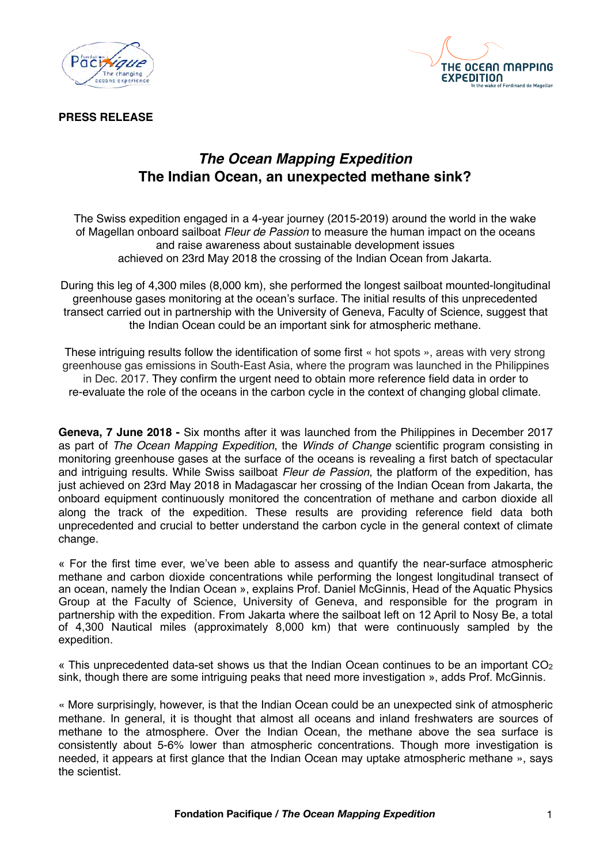



**PRESS RELEASE**

## *The Ocean Mapping Expedition* **The Indian Ocean, an unexpected methane sink?**

The Swiss expedition engaged in a 4-year journey (2015-2019) around the world in the wake of Magellan onboard sailboat *Fleur de Passion* to measure the human impact on the oceans and raise awareness about sustainable development issues achieved on 23rd May 2018 the crossing of the Indian Ocean from Jakarta.

During this leg of 4,300 miles (8,000 km), she performed the longest sailboat mounted-longitudinal greenhouse gases monitoring at the ocean's surface. The initial results of this unprecedented transect carried out in partnership with the University of Geneva, Faculty of Science, suggest that the Indian Ocean could be an important sink for atmospheric methane.

These intriguing results follow the identification of some first « hot spots », areas with very strong greenhouse gas emissions in South-East Asia, where the program was launched in the Philippines in Dec. 2017. They confirm the urgent need to obtain more reference field data in order to re-evaluate the role of the oceans in the carbon cycle in the context of changing global climate.

**Geneva, 7 June 2018 -** Six months after it was launched from the Philippines in December 2017 as part of *The Ocean Mapping Expedition*, the *Winds of Change* scientific program consisting in monitoring greenhouse gases at the surface of the oceans is revealing a first batch of spectacular and intriguing results. While Swiss sailboat *Fleur de Passion*, the platform of the expedition, has just achieved on 23rd May 2018 in Madagascar her crossing of the Indian Ocean from Jakarta, the onboard equipment continuously monitored the concentration of methane and carbon dioxide all along the track of the expedition. These results are providing reference field data both unprecedented and crucial to better understand the carbon cycle in the general context of climate change.

« For the first time ever, we've been able to assess and quantify the near-surface atmospheric methane and carbon dioxide concentrations while performing the longest longitudinal transect of an ocean, namely the Indian Ocean », explains Prof. Daniel McGinnis, Head of the Aquatic Physics Group at the Faculty of Science, University of Geneva, and responsible for the program in partnership with the expedition. From Jakarta where the sailboat left on 12 April to Nosy Be, a total of 4,300 Nautical miles (approximately 8,000 km) that were continuously sampled by the expedition.

« This unprecedented data-set shows us that the Indian Ocean continues to be an important  $CO<sub>2</sub>$ sink, though there are some intriguing peaks that need more investigation », adds Prof. McGinnis.

« More surprisingly, however, is that the Indian Ocean could be an unexpected sink of atmospheric methane. In general, it is thought that almost all oceans and inland freshwaters are sources of methane to the atmosphere. Over the Indian Ocean, the methane above the sea surface is consistently about 5-6% lower than atmospheric concentrations. Though more investigation is needed, it appears at first glance that the Indian Ocean may uptake atmospheric methane », says the scientist.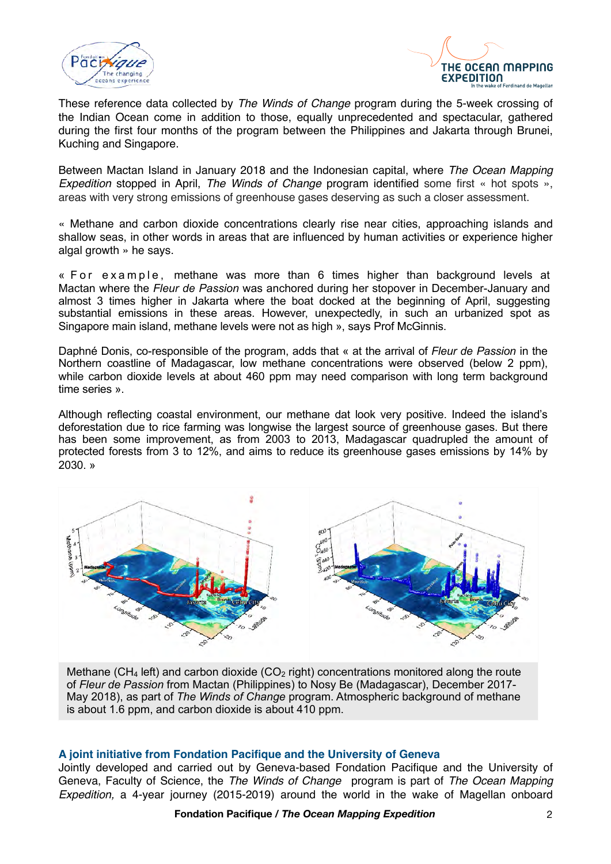



These reference data collected by *The Winds of Change* program during the 5-week crossing of the Indian Ocean come in addition to those, equally unprecedented and spectacular, gathered during the first four months of the program between the Philippines and Jakarta through Brunei, Kuching and Singapore.

Between Mactan Island in January 2018 and the Indonesian capital, where *The Ocean Mapping Expedition* stopped in April, *The Winds of Change* program identified some first « hot spots », areas with very strong emissions of greenhouse gases deserving as such a closer assessment.

« Methane and carbon dioxide concentrations clearly rise near cities, approaching islands and shallow seas, in other words in areas that are influenced by human activities or experience higher algal growth » he says.

« For example, methane was more than 6 times higher than background levels at Mactan where the *Fleur de Passion* was anchored during her stopover in December-January and almost 3 times higher in Jakarta where the boat docked at the beginning of April, suggesting substantial emissions in these areas. However, unexpectedly, in such an urbanized spot as Singapore main island, methane levels were not as high », says Prof McGinnis.

Daphné Donis, co-responsible of the program, adds that « at the arrival of *Fleur de Passion* in the Northern coastline of Madagascar, low methane concentrations were observed (below 2 ppm), while carbon dioxide levels at about 460 ppm may need comparison with long term background time series ».

Although reflecting coastal environment, our methane dat look very positive. Indeed the island's deforestation due to rice farming was longwise the largest source of greenhouse gases. But there has been some improvement, as from 2003 to 2013, Madagascar quadrupled the amount of protected forests from 3 to 12%, and aims to reduce its greenhouse gases emissions by 14% by 2030. »



Methane (CH<sub>4</sub> left) and carbon dioxide (CO<sub>2</sub> right) concentrations monitored along the route of *Fleur de Passion* from Mactan (Philippines) to Nosy Be (Madagascar), December 2017- May 2018), as part of *The Winds of Change* program. Atmospheric background of methane is about 1.6 ppm, and carbon dioxide is about 410 ppm.

#### **A joint initiative from Fondation Pacifique and the University of Geneva**

Jointly developed and carried out by Geneva-based Fondation Pacifique and the University of Geneva, Faculty of Science, the *The Winds of Change* program is part of *The Ocean Mapping Expedition,* a 4-year journey (2015-2019) around the world in the wake of Magellan onboard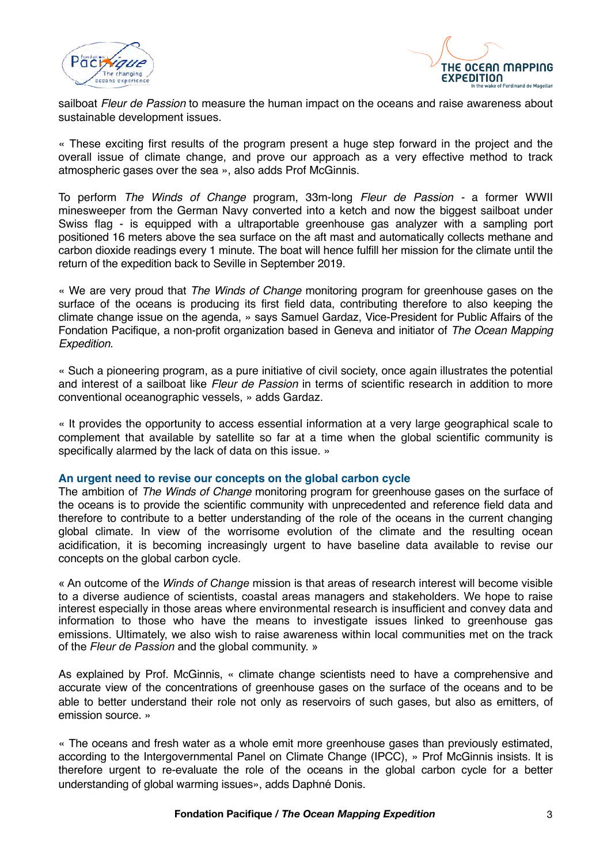



sailboat *Fleur de Passion* to measure the human impact on the oceans and raise awareness about sustainable development issues.

« These exciting first results of the program present a huge step forward in the project and the overall issue of climate change, and prove our approach as a very effective method to track atmospheric gases over the sea », also adds Prof McGinnis.

To perform *The Winds of Change* program, 33m-long *Fleur de Passion -* a former WWII minesweeper from the German Navy converted into a ketch and now the biggest sailboat under Swiss flag - is equipped with a ultraportable greenhouse gas analyzer with a sampling port positioned 16 meters above the sea surface on the aft mast and automatically collects methane and carbon dioxide readings every 1 minute. The boat will hence fulfill her mission for the climate until the return of the expedition back to Seville in September 2019.

« We are very proud that *The Winds of Change* monitoring program for greenhouse gases on the surface of the oceans is producing its first field data, contributing therefore to also keeping the climate change issue on the agenda, » says Samuel Gardaz, Vice-President for Public Affairs of the Fondation Pacifique, a non-profit organization based in Geneva and initiator of *The Ocean Mapping Expedition*.

« Such a pioneering program, as a pure initiative of civil society, once again illustrates the potential and interest of a sailboat like *Fleur de Passion* in terms of scientific research in addition to more conventional oceanographic vessels, » adds Gardaz.

« It provides the opportunity to access essential information at a very large geographical scale to complement that available by satellite so far at a time when the global scientific community is specifically alarmed by the lack of data on this issue. »

#### **An urgent need to revise our concepts on the global carbon cycle**

The ambition of *The Winds of Change* monitoring program for greenhouse gases on the surface of the oceans is to provide the scientific community with unprecedented and reference field data and therefore to contribute to a better understanding of the role of the oceans in the current changing global climate. In view of the worrisome evolution of the climate and the resulting ocean acidification, it is becoming increasingly urgent to have baseline data available to revise our concepts on the global carbon cycle.

« An outcome of the *Winds of Change* mission is that areas of research interest will become visible to a diverse audience of scientists, coastal areas managers and stakeholders. We hope to raise interest especially in those areas where environmental research is insufficient and convey data and information to those who have the means to investigate issues linked to greenhouse gas emissions. Ultimately, we also wish to raise awareness within local communities met on the track of the *Fleur de Passion* and the global community. »

As explained by Prof. McGinnis, « climate change scientists need to have a comprehensive and accurate view of the concentrations of greenhouse gases on the surface of the oceans and to be able to better understand their role not only as reservoirs of such gases, but also as emitters, of emission source. »

« The oceans and fresh water as a whole emit more greenhouse gases than previously estimated, according to the Intergovernmental Panel on Climate Change (IPCC), » Prof McGinnis insists. It is therefore urgent to re-evaluate the role of the oceans in the global carbon cycle for a better understanding of global warming issues», adds Daphné Donis.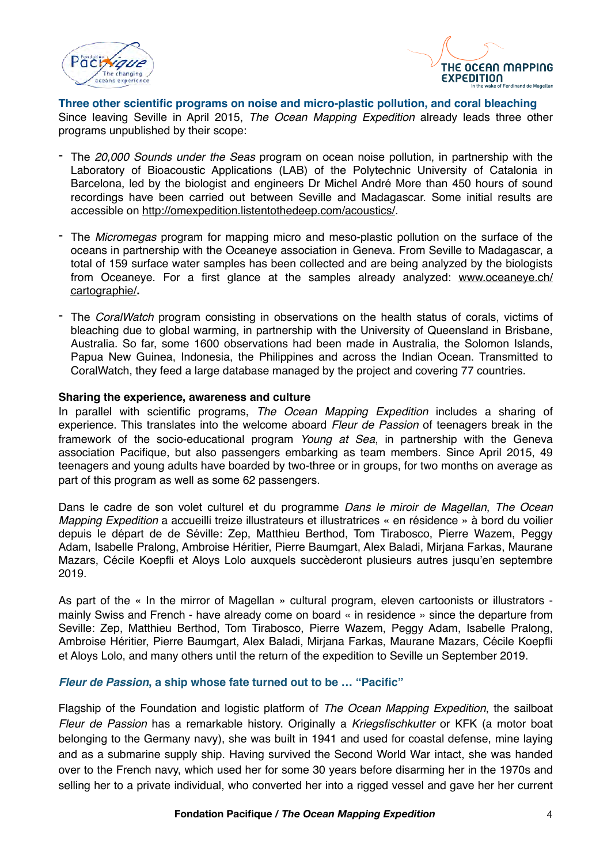



**Three other scientific programs on noise and micro-plastic pollution, and coral bleaching** Since leaving Seville in April 2015, *The Ocean Mapping Expedition* already leads three other programs unpublished by their scope:

- The *20,000 Sounds under the Seas* program on ocean noise pollution, in partnership with the Laboratory of Bioacoustic Applications (LAB) of the Polytechnic University of Catalonia in Barcelona, led by the biologist and engineers Dr Michel André More than 450 hours of sound recordings have been carried out between Seville and Madagascar. Some initial results are accessible on<http://omexpedition.listentothedeep.com/acoustics/>.
- The *Micromegas* program for mapping micro and meso-plastic pollution on the surface of the oceans in partnership with the Oceaneye association in Geneva. From Seville to Madagascar, a total of 159 surface water samples has been collected and are being analyzed by the biologists from Oceaneye. For a first glance at the samples already analyzed: [www.oceaneye.ch/](http://www.oceaneye.ch/cartographie/) [cartographie/](http://www.oceaneye.ch/cartographie/)**.**
- The *CoralWatch* program consisting in observations on the health status of corals, victims of bleaching due to global warming, in partnership with the University of Queensland in Brisbane, Australia. So far, some 1600 observations had been made in Australia, the Solomon Islands, Papua New Guinea, Indonesia, the Philippines and across the Indian Ocean. Transmitted to CoralWatch, they feed a large database managed by the project and covering 77 countries.

### **Sharing the experience, awareness and culture**

In parallel with scientific programs, *The Ocean Mapping Expedition* includes a sharing of experience. This translates into the welcome aboard *Fleur de Passion* of teenagers break in the framework of the socio-educational program *Young at Sea*, in partnership with the Geneva association Pacifique, but also passengers embarking as team members. Since April 2015, 49 teenagers and young adults have boarded by two-three or in groups, for two months on average as part of this program as well as some 62 passengers.

Dans le cadre de son volet culturel et du programme *Dans le miroir de Magellan*, *The Ocean Mapping Expedition* a accueilli treize illustrateurs et illustratrices « en résidence » à bord du voilier depuis le départ de de Séville: Zep, Matthieu Berthod, Tom Tirabosco, Pierre Wazem, Peggy Adam, Isabelle Pralong, Ambroise Héritier, Pierre Baumgart, Alex Baladi, Mirjana Farkas, Maurane Mazars, Cécile Koepfli et Aloys Lolo auxquels succèderont plusieurs autres jusqu'en septembre 2019.

As part of the « In the mirror of Magellan » cultural program, eleven cartoonists or illustrators mainly Swiss and French - have already come on board « in residence » since the departure from Seville: Zep, Matthieu Berthod, Tom Tirabosco, Pierre Wazem, Peggy Adam, Isabelle Pralong, Ambroise Héritier, Pierre Baumgart, Alex Baladi, Mirjana Farkas, Maurane Mazars, Cécile Koepfli et Aloys Lolo, and many others until the return of the expedition to Seville un September 2019.

## *Fleur de Passion***, a ship whose fate turned out to be … "Pacific"**

Flagship of the Foundation and logistic platform of *The Ocean Mapping Expedition*, the sailboat *Fleur de Passion* has a remarkable history. Originally a *Kriegsfischkutter* or KFK (a motor boat belonging to the Germany navy), she was built in 1941 and used for coastal defense, mine laying and as a submarine supply ship. Having survived the Second World War intact, she was handed over to the French navy, which used her for some 30 years before disarming her in the 1970s and selling her to a private individual, who converted her into a rigged vessel and gave her her current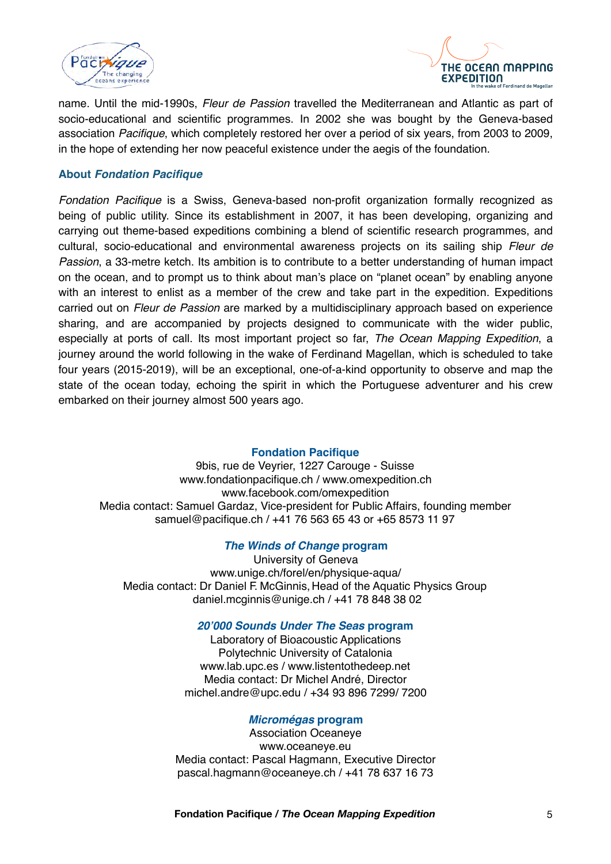



name. Until the mid-1990s, *Fleur de Passion* travelled the Mediterranean and Atlantic as part of socio-educational and scientific programmes. In 2002 she was bought by the Geneva-based association *Pacifique*, which completely restored her over a period of six years, from 2003 to 2009, in the hope of extending her now peaceful existence under the aegis of the foundation.

## **About** *Fondation Pacifique*

*Fondation Pacifique* is a Swiss, Geneva-based non-profit organization formally recognized as being of public utility. Since its establishment in 2007, it has been developing, organizing and carrying out theme-based expeditions combining a blend of scientific research programmes, and cultural, socio-educational and environmental awareness projects on its sailing ship *Fleur de Passion*, a 33-metre ketch. Its ambition is to contribute to a better understanding of human impact on the ocean, and to prompt us to think about man's place on "planet ocean" by enabling anyone with an interest to enlist as a member of the crew and take part in the expedition. Expeditions carried out on *Fleur de Passion* are marked by a multidisciplinary approach based on experience sharing, and are accompanied by projects designed to communicate with the wider public, especially at ports of call. Its most important project so far, *The Ocean Mapping Expedition*, a journey around the world following in the wake of Ferdinand Magellan, which is scheduled to take four years (2015-2019), will be an exceptional, one-of-a-kind opportunity to observe and map the state of the ocean today, echoing the spirit in which the Portuguese adventurer and his crew embarked on their journey almost 500 years ago.

## **Fondation Pacifique**

9bis, rue de Veyrier, 1227 Carouge - Suisse [www.fondationpacifique.ch](http://www.pacifique.ch) / [www.omexpedition.ch](http://www.omexpedition.ch) www.facebook.com/omexpedition Media contact: Samuel Gardaz, Vice-president for Public Affairs, founding member [samuel@pacifique.ch](mailto:samuel@pacifique.ch) / +41 76 563 65 43 or +65 8573 11 97

## *The Winds of Change* **program**

University of Geneva [www.unige.ch/forel/en/physique-aqua/](http://www.unige.ch/forel/en/physique-aqua/) Media contact: Dr Daniel F. McGinnis, Head of the Aquatic Physics Group [daniel.mcginnis@unige.ch](mailto:daniel.mcginnis@unige.ch) / +41 78 848 38 02

#### *20'000 Sounds Under The Seas* **program**

Laboratory of Bioacoustic Applications Polytechnic University of Catalonia [www.lab.upc.es](http://www.lab.upc.es/) / www.listentothedeep.net Media contact: Dr Michel André, Director [michel.andre@upc.edu](mailto:michel.andre@upc.edu) / +34 93 896 7299/ 7200

#### *Micromégas* **program**

Association Oceaneye [www.oceaneye.eu](http://www.oceaneye.eu) Media contact: Pascal Hagmann, Executive Director [pascal.hagmann@oceaneye.ch](mailto:pascal.hagmann@oceaneye.ch) / +41 78 637 16 73